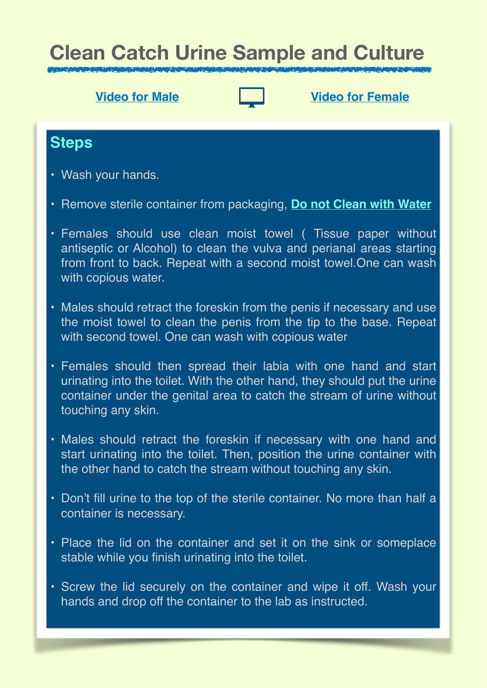# **Clean Catch Urine Sample and Culture**



**[Video for Male](https://drive.google.com/file/d/15EBGv9mtmF2auuiBUDPUG5fe8oTJRItO/view?usp=sharing) [Video for Female](https://drive.google.com/file/d/187zL-bUxoeYDLU9e7bU9jinEdr_XJ1KA/view?usp=sharing)**

### **Steps**

- Wash your hands.
- Remove sterile container from packaging, **Do not Clean with Water**
- Females should use clean moist towel ( Tissue paper without antiseptic or Alcohol) to clean the vulva and perianal areas starting from front to back. Repeat with a second moist towel.One can wash with copious water.
- Males should retract the foreskin from the penis if necessary and use the moist towel to clean the penis from the tip to the base. Repeat with second towel. One can wash with copious water
- Females should then spread their labia with one hand and start urinating into the toilet. With the other hand, they should put the urine container under the genital area to catch the stream of urine without touching any skin.
- Males should retract the foreskin if necessary with one hand and start urinating into the toilet. Then, position the urine container with the other hand to catch the stream without touching any skin.
- Don't fill urine to the top of the sterile container. No more than half a container is necessary.
- Place the lid on the container and set it on the sink or someplace stable while you finish urinating into the toilet.
- Screw the lid securely on the container and wipe it off. Wash your hands and drop off the container to the lab as instructed.